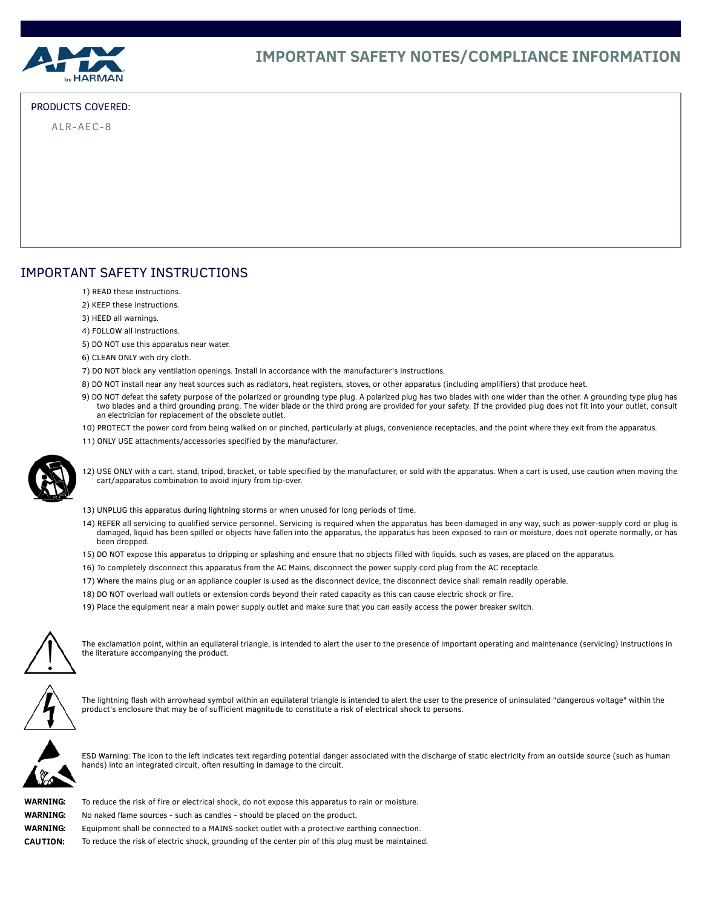

## PRODUCTS COVERED:

ALR-AEC-8

# IMPORTANT SAFETY INSTRUCTIONS

- 1) READ these instructions.
- 2) KEEP these instructions.
- 3) HEED all warnings.
- 4) FOLLOW all instructions.
- 5) DO NOT use this apparatus near water.
- 6) CLEAN ONLY with dry cloth.
- 7) DO NOT block any ventilation openings. Install in accordance with the manufacturer's instructions.
- 8) DO NOT install near any heat sources such as radiators, heat registers, stoves, or other apparatus (including amplifiers) that produce heat.
- 9) DO NOT defeat the safety purpose of the polarized or grounding type plug. A polarized plug has two blades with one wider than the other. A grounding type plug has two blades and a third grounding prong. The wider blade or the third prong are provided for your safety. If the provided plug does not fit into your outlet, consult an electrician for replacement of the obsolete outlet.
- 10) PROTECT the power cord from being walked on or pinched, particularly at plugs, convenience receptacles, and the point where they exit from the apparatus.
- 11) ONLY USE attachments/accessories specified by the manufacturer.



12) USE ONLY with a cart, stand, tripod, bracket, or table specified by the manufacturer, or sold with the apparatus. When a cart is used, use caution when moving the cart/apparatus combination to avoid injury from tip-over.

- 13) UNPLUG this apparatus during lightning storms or when unused for long periods of time.
- 14) REFER all servicing to qualified service personnel. Servicing is required when the apparatus has been damaged in any way, such as power-supply cord or plug is damaged, liquid has been spilled or objects have fallen into the apparatus, the apparatus has been exposed to rain or moisture, does not operate normally, or has been dropped.
- 15) DO NOT expose this apparatus to dripping or splashing and ensure that no objects filled with liquids, such as vases, are placed on the apparatus.
- 16) To completely disconnect this apparatus from the AC Mains, disconnect the power supply cord plug from the AC receptacle.
- 17) Where the mains plug or an appliance coupler is used as the disconnect device, the disconnect device shall remain readily operable.
- 18) DO NOT overload wall outlets or extension cords beyond their rated capacity as this can cause electric shock or fire.
- 19) Place the equipment near a main power supply outlet and make sure that you can easily access the power breaker switch.



The exclamation point, within an equilateral triangle, is intended to alert the user to the presence of important operating and maintenance (servicing) instructions in the literature accompanying the product.



The lightning flash with arrowhead symbol within an equilateral triangle is intended to alert the user to the presence of uninsulated "dangerous voltage" within the product's enclosure that may be of sufficient magnitude to constitute a risk of electrical shock to persons.



ESD Warning: The icon to the left indicates text regarding potential danger associated with the discharge of static electricity from an outside source (such as human hands) into an integrated circuit, often resulting in damage to the circuit.

| WARNING:        |  |
|-----------------|--|
| WARNING:        |  |
| WARNING:        |  |
| <b>CAUTION:</b> |  |

To reduce the risk of fire or electrical shock, do not expose this apparatus to rain or moisture.

- No naked flame sources such as candles should be placed on the product.
- Equipment shall be connected to a MAINS socket outlet with a protective earthing connection.

To reduce the risk of electric shock, grounding of the center pin of this plug must be maintained.